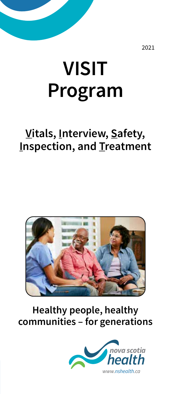2021

# **VISIT Program**

# **Vitals, Interview, Safety, Inspection, and Treatment**



#### **Healthy people, healthy communities – for generations**

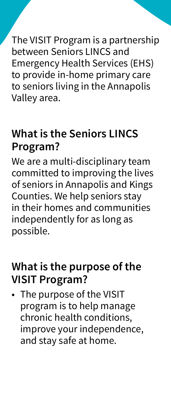The VISIT Program is a partnership between Seniors LINCS and Emergency Health Services (EHS) to provide in-home primary care to seniors living in the Annapolis Valley area.

# **What is the Seniors LINCS Program?**

We are a multi-disciplinary team committed to improving the lives of seniors in Annapolis and Kings Counties. We help seniors stay in their homes and communities independently for as long as possible.

#### **What is the purpose of the VISIT Program?**

• The purpose of the VISIT program is to help manage chronic health conditions, improve your independence, and stay safe at home.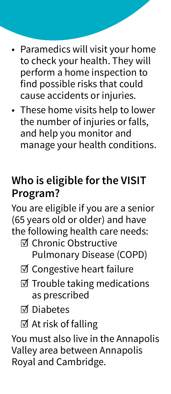- Paramedics will visit your home to check your health. They will perform a home inspection to find possible risks that could cause accidents or injuries.
- These home visits help to lower the number of injuries or falls, and help you monitor and manage your health conditions.

# **Who is eligible for the VISIT Program?**

You are eligible if you are a senior (65 years old or older) and have the following health care needs:

- ☑ Chronic Obstructive Pulmonary Disease (COPD)
- ☑ Congestive heart failure
- ☑ Trouble taking medications as prescribed
- ☑ Diabetes
- ☑ At risk of falling

You must also live in the Annapolis Valley area between Annapolis Royal and Cambridge.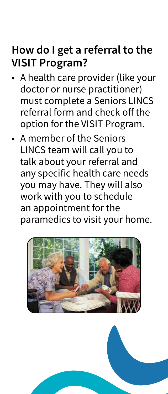#### **How do I get a referral to the VISIT Program?**

- A health care provider (like your doctor or nurse practitioner) must complete a Seniors LINCS referral form and check off the option for the VISIT Program.
- A member of the Seniors LINCS team will call you to talk about your referral and any specific health care needs you may have. They will also work with you to schedule an appointment for the paramedics to visit your home.

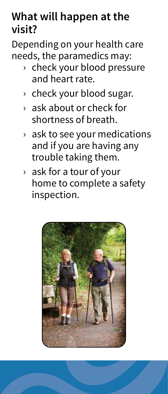#### **What will happen at the visit?**

Depending on your health care needs, the paramedics may:

- › check your blood pressure and heart rate.
- › check your blood sugar.
- › ask about or check for shortness of breath.
- $\rightarrow$  ask to see your medications and if you are having any trouble taking them.
- › ask for a tour of your home to complete a safety inspection.